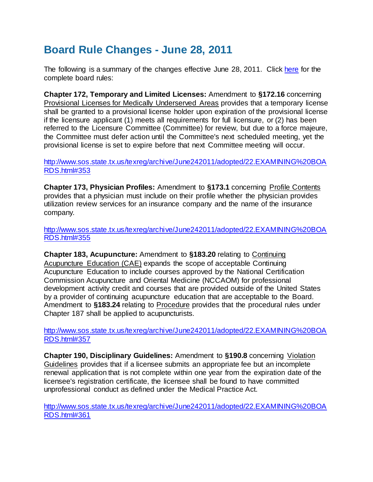## **Board Rule Changes - June 28, 2011**

The following is a summary of the changes effective June 28, 2011. Clic[k here](http://www.tmb.state.tx.us/rules/rules/bdrules.php) for the complete board rules:

**Chapter 172, Temporary and Limited Licenses:** Amendment to **§172.16** concerning Provisional Licenses for Medically Underserved Areas provides that a temporary license shall be granted to a provisional license holder upon expiration of the provisional license if the licensure applicant (1) meets all requirements for full licensure, or (2) has been referred to the Licensure Committee (Committee) for review, but due to a force majeure, the Committee must defer action until the Committee's next scheduled meeting, yet the provisional license is set to expire before that next Committee meeting will occur.

## [http://www.sos.state.tx.us/texreg/archive/June242011/adopted/22.EXAMINING%20BOA](http://www.sos.state.tx.us/texreg/archive/June242011/adopted/22.EXAMINING%20BOARDS.html#353) [RDS.html#353](http://www.sos.state.tx.us/texreg/archive/June242011/adopted/22.EXAMINING%20BOARDS.html#353)

**Chapter 173, Physician Profiles:** Amendment to **§173.1** concerning Profile Contents provides that a physician must include on their profile whether the physician provides utilization review services for an insurance company and the name of the insurance company.

[http://www.sos.state.tx.us/texreg/archive/June242011/adopted/22.EXAMINING%20BOA](http://www.sos.state.tx.us/texreg/archive/June242011/adopted/22.EXAMINING%20BOARDS.html#355) [RDS.html#355](http://www.sos.state.tx.us/texreg/archive/June242011/adopted/22.EXAMINING%20BOARDS.html#355)

**Chapter 183, Acupuncture:** Amendment to **§183.20** relating to Continuing Acupuncture Education (CAE) expands the scope of acceptable Continuing Acupuncture Education to include courses approved by the National Certification Commission Acupuncture and Oriental Medicine (NCCAOM) for professional development activity credit and courses that are provided outside of the United States by a provider of continuing acupuncture education that are acceptable to the Board. Amendment to **§183.24** relating to Procedure provides that the procedural rules under Chapter 187 shall be applied to acupuncturists.

[http://www.sos.state.tx.us/texreg/archive/June242011/adopted/22.EXAMINING%20BOA](http://www.sos.state.tx.us/texreg/archive/June242011/adopted/22.EXAMINING%20BOARDS.html#357) [RDS.html#357](http://www.sos.state.tx.us/texreg/archive/June242011/adopted/22.EXAMINING%20BOARDS.html#357)

**Chapter 190, Disciplinary Guidelines:** Amendment to **§190.8** concerning Violation Guidelines provides that if a licensee submits an appropriate fee but an incomplete renewal application that is not complete within one year from the expiration date of the licensee's registration certificate, the licensee shall be found to have committed unprofessional conduct as defined under the Medical Practice Act.

[http://www.sos.state.tx.us/texreg/archive/June242011/adopted/22.EXAMINING%20BOA](http://www.sos.state.tx.us/texreg/archive/June242011/adopted/22.EXAMINING%20BOARDS.html#361) [RDS.html#361](http://www.sos.state.tx.us/texreg/archive/June242011/adopted/22.EXAMINING%20BOARDS.html#361)